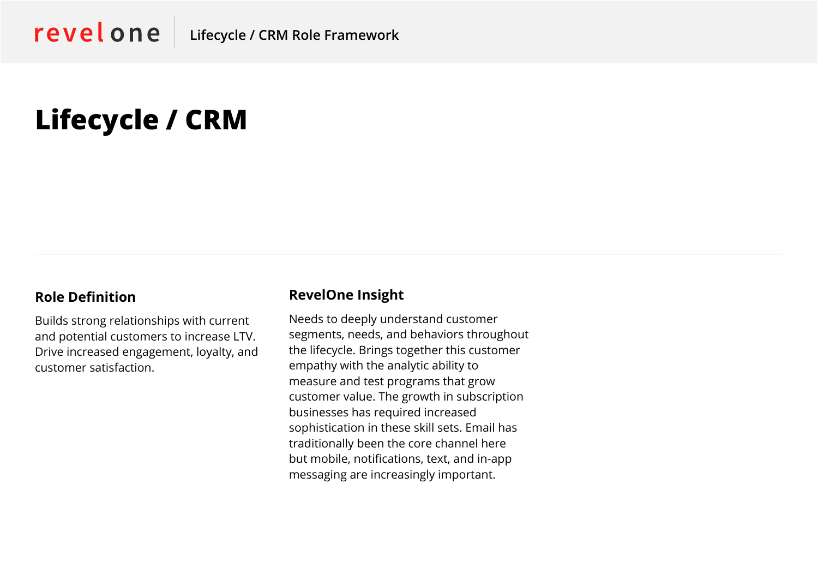# **Lifecycle / CRM**

#### **Role Definition**

Builds strong relationships with current and potential customers to increase LTV. Drive increased engagement, loyalty, and customer satisfaction.

#### **RevelOne Insight**

Needs to deeply understand customer segments, needs, and behaviors throughout the lifecycle. Brings together this customer empathy with the analytic ability to measure and test programs that grow customer value. The growth in subscription businesses has required increased sophistication in these skill sets. Email has traditionally been the core channel here but mobile, notifications, text, and in-app messaging are increasingly important.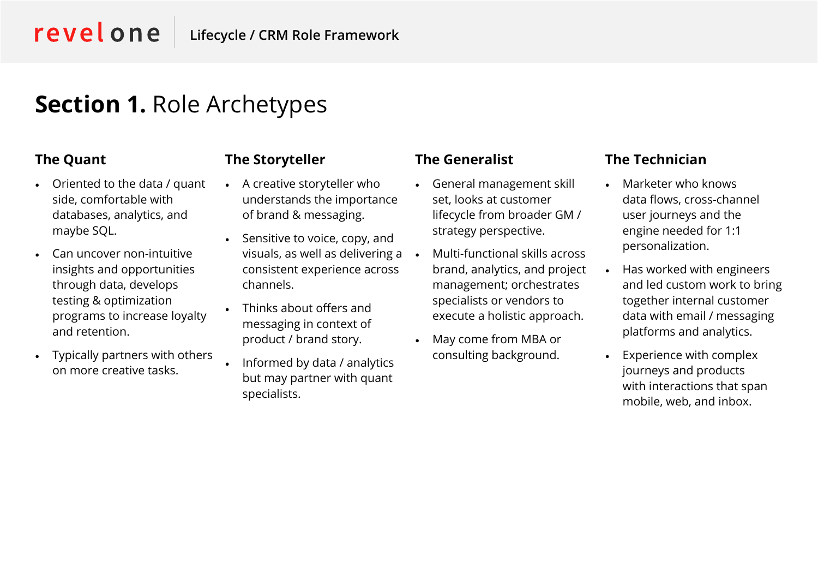revelone

### **Section 1.** Role Archetypes

### **The Quant**

- Oriented to the data / quant side, comfortable with databases, analytics, and maybe SQL.
- Can uncover non-intuitive insights and opportunities through data, develops testing & optimization programs to increase loyalty and retention.
- Typically partners with others on more creative tasks.

### **The Storyteller**

- A creative storyteller who understands the importance of brand & messaging.
- Sensitive to voice, copy, and visuals, as well as delivering a consistent experience across channels.
- Thinks about offers and messaging in context of product / brand story.
- Informed by data / analytics but may partner with quant specialists.

### **The Generalist**

- General management skill set, looks at customer lifecycle from broader GM / strategy perspective.
- Multi-functional skills across brand, analytics, and project management; orchestrates specialists or vendors to execute a holistic approach.
- May come from MBA or consulting background.

### **The Technician**

- Marketer who knows data flows, cross-channel user journeys and the engine needed for 1:1 personalization.
- Has worked with engineers and led custom work to bring together internal customer data with email / messaging platforms and analytics.
- Experience with complex journeys and products with interactions that span mobile, web, and inbox.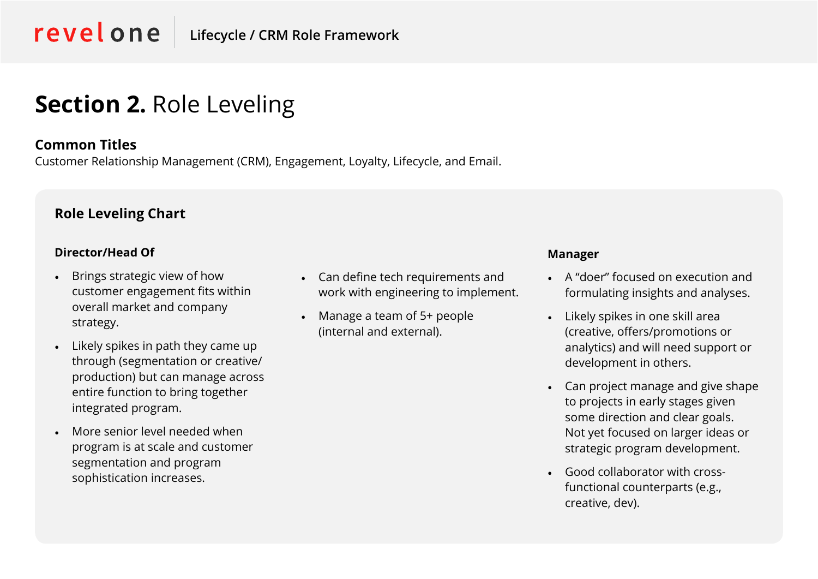## **Section 2.** Role Leveling

#### **Common Titles**

Customer Relationship Management (CRM), Engagement, Loyalty, Lifecycle, and Email.

#### **Role Leveling Chart**

#### **Director/Head Of**

- Brings strategic view of how customer engagement fits within overall market and company strategy.
- Likely spikes in path they came up through (segmentation or creative/ production) but can manage across entire function to bring together integrated program.
- More senior level needed when program is at scale and customer segmentation and program sophistication increases.
- Can define tech requirements and work with engineering to implement.
- Manage a team of 5+ people (internal and external).

#### **Manager**

- A "doer" focused on execution and formulating insights and analyses.
- Likely spikes in one skill area (creative, offers/promotions or analytics) and will need support or development in others.
- Can project manage and give shape to projects in early stages given some direction and clear goals. Not yet focused on larger ideas or strategic program development.
- Good collaborator with crossfunctional counterparts (e.g., creative, dev).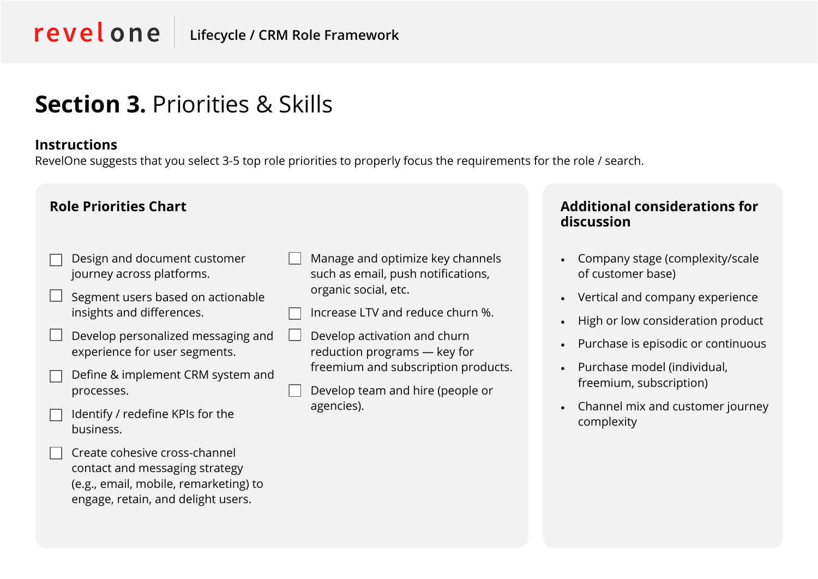### **Section 3.** Priorities & Skills

#### **Instructions**

RevelOne suggests that you select 3-5 top role priorities to properly focus the requirements for the role / search.

- Design and document customer journey across platforms.
- Segment users based on actionable insights and differences.
- Develop personalized messaging and experience for user segments.
- Define & implement CRM system and processes.
- Identify / redefine KPIs for the business.
	- Create cohesive cross-channel contact and messaging strategy (e.g., email, mobile, remarketing) to engage, retain, and delight users.
- Manage and optimize key channels such as email, push notifications, organic social, etc.
- Increase LTV and reduce churn %.
- Develop activation and churn reduction programs — key for freemium and subscription products.
- Develop team and hire (people or agencies).

#### **Role Priorities Chart Additional considerations for discussion**

- Company stage (complexity/scale of customer base)
- Vertical and company experience
- High or low consideration product
- Purchase is episodic or continuous
- Purchase model (individual, freemium, subscription)
- Channel mix and customer journey complexity